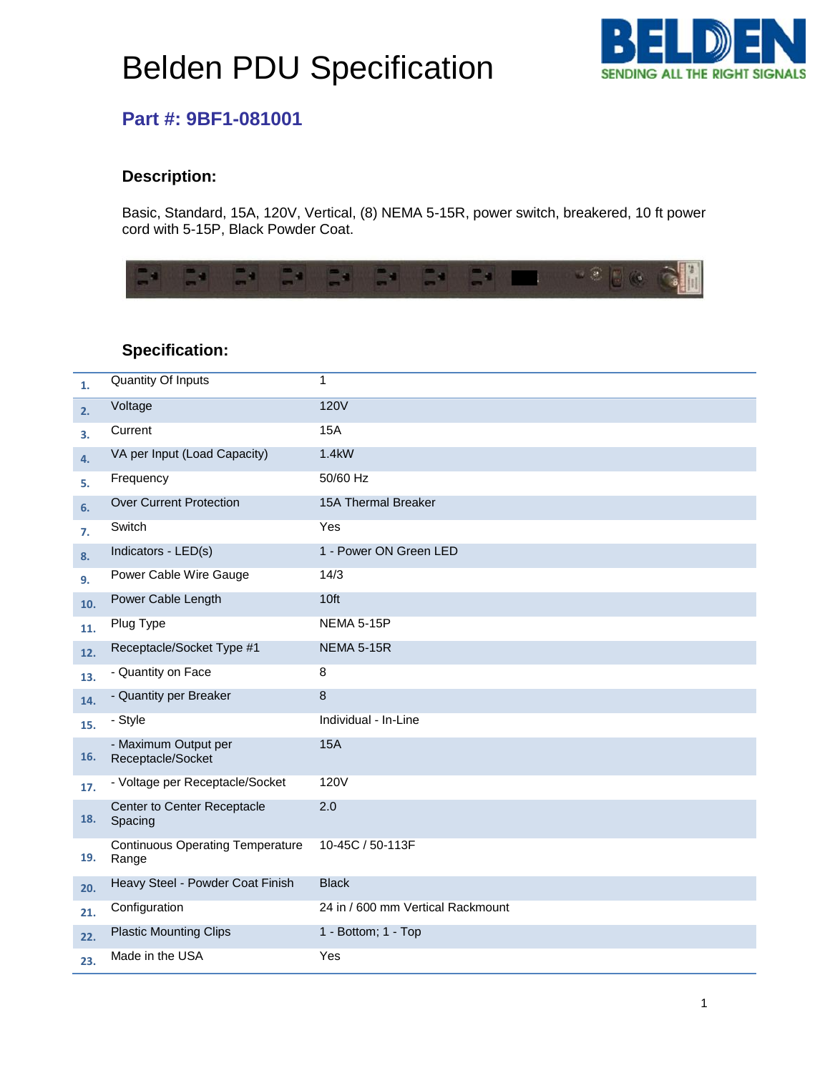# Belden PDU Specification



### **Part #: 9BF1-081001**

### **Description:**

Basic, Standard, 15A, 120V, Vertical, (8) NEMA 5-15R, power switch, breakered, 10 ft power cord with 5-15P, Black Powder Coat.



#### **Specification:**

| 1.  | Quantity Of Inputs                               | 1                                 |
|-----|--------------------------------------------------|-----------------------------------|
| 2.  | Voltage                                          | <b>120V</b>                       |
| 3.  | Current                                          | 15A                               |
| 4.  | VA per Input (Load Capacity)                     | 1.4kW                             |
| 5.  | Frequency                                        | 50/60 Hz                          |
| 6.  | <b>Over Current Protection</b>                   | 15A Thermal Breaker               |
| 7.  | Switch                                           | Yes                               |
| 8.  | Indicators - LED(s)                              | 1 - Power ON Green LED            |
| 9.  | Power Cable Wire Gauge                           | 14/3                              |
| 10. | Power Cable Length                               | 10ft                              |
| 11. | Plug Type                                        | <b>NEMA 5-15P</b>                 |
| 12. | Receptacle/Socket Type #1                        | <b>NEMA 5-15R</b>                 |
| 13. | - Quantity on Face                               | 8                                 |
| 14. | - Quantity per Breaker                           | 8                                 |
| 15. | - Style                                          | Individual - In-Line              |
| 16. | - Maximum Output per<br>Receptacle/Socket        | <b>15A</b>                        |
| 17. | - Voltage per Receptacle/Socket                  | 120V                              |
| 18. | Center to Center Receptacle<br>Spacing           | 2.0                               |
| 19. | <b>Continuous Operating Temperature</b><br>Range | 10-45C / 50-113F                  |
| 20. | Heavy Steel - Powder Coat Finish                 | <b>Black</b>                      |
| 21. | Configuration                                    | 24 in / 600 mm Vertical Rackmount |
| 22. | <b>Plastic Mounting Clips</b>                    | 1 - Bottom; 1 - Top               |
| 23. | Made in the USA                                  | Yes                               |
|     |                                                  |                                   |